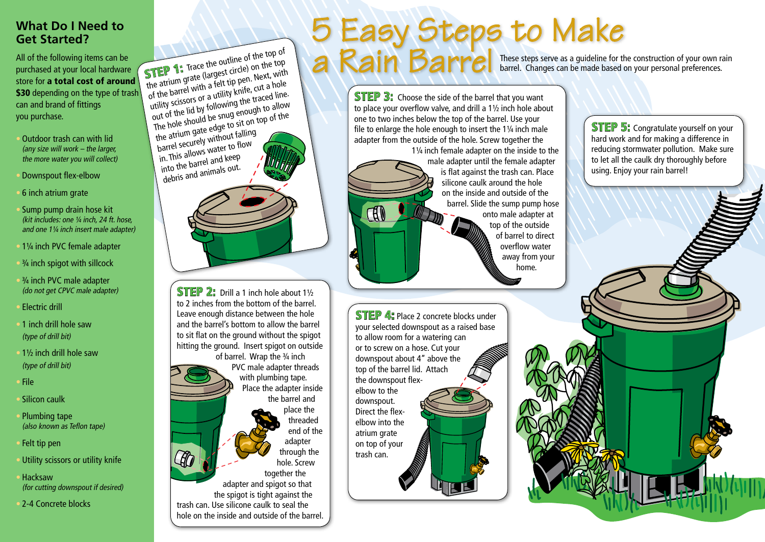# **What Do I Need to Get Started?**

All of the following items can be purchased at your local hardware store for a total cost of around \$30 depending on the type of trash can and brand of fittings you purchase.

- Outdoor trash can with lid (any size will work  $-$  the larger, the more water you will collect)
- Downspout flex-elbow
- 6 inch atrium grate
- Sump pump drain hose kit (kit includes: one ¼ inch, 24 ft. hose, and one 1¼ inch insert male adapter)
- 1¼ inch PVC female adapter
- ¾ inch spigot with sillcock
- <sup>3</sup>/<sub>4</sub> inch PVC male adapter (do not get CPVC male adapter)
- Electric drill
- 1 inch drill hole saw (type of drill bit)
- 1½ inch drill hole saw (type of drill bit)
- File
- Silicon caulk
- Plumbing tape (also known as Teflon tape)
- Felt tip pen
- Utility scissors or utility knife
- Hacksaw (for cutting downspout if desired)
- 2-4 Concrete blocks

**STEP 1:** Trace the outline of the top of the top of the atrium grate (largest circle) on the top of the barrel with a felt tip pen. Next, with utility scissors or a utility knife, cut a hole out of the lid by following the traced line. The hole should be snug enough to allow the atrium gate edge to sit on top of the barrel securely without falling in. This allows water to flow into the barrel and keep debris and animals out.



STEP 2: Drill a 1 inch hole about 11/2 to 2 inches from the bottom of the barrel. Leave enough distance between the hole and the barrel's bottom to allow the barrel to sit flat on the ground without the spigot hitting the ground. Insert spigot on outside of barrel. Wrap the 3/4 inch PVC male adapter threads with plumbing tape. Place the adapter inside the barrel and place the threaded end of the adapter through the hole. Screw together the adapter and spigot so that the spigot is tight against the trash can. Use silicone caulk to seal the hole on the inside and outside of the barrel.

# These steps serve as a guideline for the construction of your own rain barrel. Changes can be made based on your personal preferences. 5 Easy Steps to Make **STEP 1:** Trace the outline of the top of a Rain Barrel

**STEP 3:** Choose the side of the barrel that you want to place your overflow valve, and drill a 1½ inch hole about one to two inches below the top of the barrel. Use your file to enlarge the hole enough to insert the 1¼ inch male adapter from the outside of the hole. Screw together the

1¼ inch female adapter on the inside to the male adapter until the female adapter is flat against the trash can. Place silicone caulk around the hole on the inside and outside of the barrel. Slide the sump pump hose onto male adapter at top of the outside of barrel to direct overflow water away from your home.

**STEP 4:** Place 2 concrete blocks under your selected downspout as a raised base to allow room for a watering can or to screw on a hose. Cut your downspout about 4" above the top of the barrel lid. Attach the downspout flexelbow to the downspout. Direct the flexelbow into the atrium grate on top of your trash can.

H

**STEP 5:** Congratulate yourself on your hard work and for making a difference in reducing stormwater pollution. Make sure to let all the caulk dry thoroughly before using. Enjoy your rain barrel!